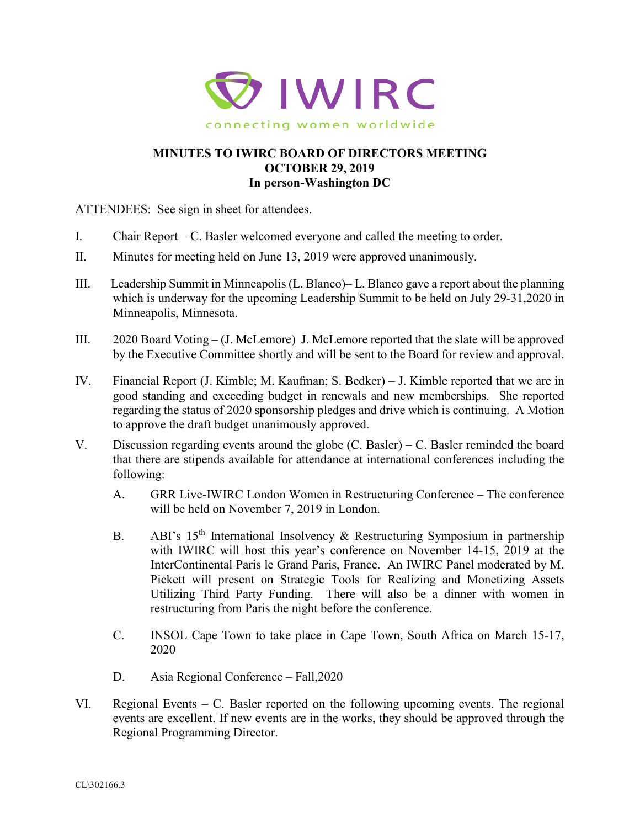

## **MINUTES TO IWIRC BOARD OF DIRECTORS MEETING OCTOBER 29, 2019 In person-Washington DC**

ATTENDEES: See sign in sheet for attendees.

- I. Chair Report C. Basler welcomed everyone and called the meeting to order.
- II. Minutes for meeting held on June 13, 2019 were approved unanimously.
- III. Leadership Summit in Minneapolis (L. Blanco)– L. Blanco gave a report about the planning which is underway for the upcoming Leadership Summit to be held on July 29-31,2020 in Minneapolis, Minnesota.
- III. 2020 Board Voting (J. McLemore) J. McLemore reported that the slate will be approved by the Executive Committee shortly and will be sent to the Board for review and approval.
- IV. Financial Report (J. Kimble; M. Kaufman; S. Bedker) J. Kimble reported that we are in good standing and exceeding budget in renewals and new memberships. She reported regarding the status of 2020 sponsorship pledges and drive which is continuing. A Motion to approve the draft budget unanimously approved.
- V. Discussion regarding events around the globe (C. Basler) C. Basler reminded the board that there are stipends available for attendance at international conferences including the following:
	- A. GRR Live-IWIRC London Women in Restructuring Conference The conference will be held on November 7, 2019 in London.
	- B. ABI's 15<sup>th</sup> International Insolvency & Restructuring Symposium in partnership with IWIRC will host this year's conference on November 14-15, 2019 at the InterContinental Paris le Grand Paris, France. An IWIRC Panel moderated by M. Pickett will present on Strategic Tools for Realizing and Monetizing Assets Utilizing Third Party Funding. There will also be a dinner with women in restructuring from Paris the night before the conference.
	- C. INSOL Cape Town to take place in Cape Town, South Africa on March 15-17, 2020
	- D. Asia Regional Conference Fall,2020
- VI. Regional Events C. Basler reported on the following upcoming events. The regional events are excellent. If new events are in the works, they should be approved through the Regional Programming Director.